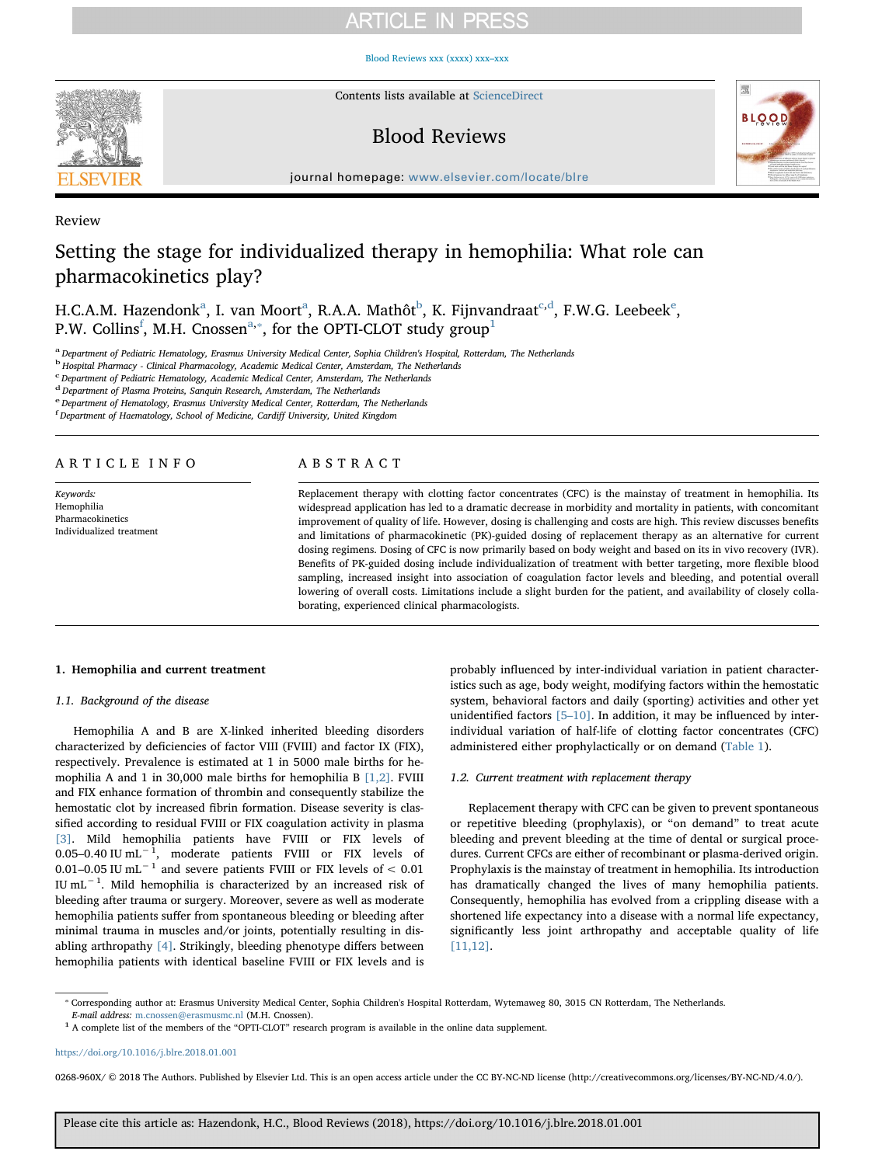# **ARTICLE IN PRESS**

[Blood Reviews xxx \(xxxx\) xxx–xxx](https://doi.org/10.1016/j.blre.2018.01.001)



Contents lists available at [ScienceDirect](http://www.sciencedirect.com/science/journal/0268960X)

# Blood Reviews



journal homepage: [www.elsevier.com/locate/blre](https://www.elsevier.com/locate/blre)

# Review

# Setting the stage for individualized therapy in hemophilia: What role can pharmacokinetics play?

H.C.A.M. H[a](#page-0-0)zendonk<sup>a</sup>, I. van Moort<sup>a</sup>, R.A.A. Mathôt<sup>[b](#page-0-1)</sup>, K. Fijnvandraat<sup>[c](#page-0-2),[d](#page-0-3)</sup>, F.W.G. L[e](#page-0-4)ebeek<sup>e</sup>, P.W. Collins<sup>[f](#page-0-5)</sup>, M.H. Cnossen<sup>[a,](#page-0-0)\*</sup>, for the OPTI-CLOT study group<sup>[1](#page-0-7)</sup>

<span id="page-0-0"></span>a Department of Pediatric Hematology, Erasmus University Medical Center, Sophia Children's Hospital, Rotterdam, The Netherlands

<span id="page-0-1"></span><sup>b</sup> Hospital Pharmacy - Clinical Pharmacology, Academic Medical Center, Amsterdam, The Netherlands

<span id="page-0-2"></span><sup>c</sup> Department of Pediatric Hematology, Academic Medical Center, Amsterdam, The Netherlands

<span id="page-0-3"></span> $d$  Department of Plasma Proteins, Sanquin Research, Amsterdam, The Netherlands

<span id="page-0-4"></span>e Department of Hematology, Erasmus University Medical Center, Rotterdam, The Netherlands

<span id="page-0-5"></span>f Department of Haematology, School of Medicine, Cardiff University, United Kingdom

# ARTICLE INFO

Keywords: Hemophilia Pharmacokinetics Individualized treatment

# ABSTRACT

Replacement therapy with clotting factor concentrates (CFC) is the mainstay of treatment in hemophilia. Its widespread application has led to a dramatic decrease in morbidity and mortality in patients, with concomitant improvement of quality of life. However, dosing is challenging and costs are high. This review discusses benefits and limitations of pharmacokinetic (PK)-guided dosing of replacement therapy as an alternative for current dosing regimens. Dosing of CFC is now primarily based on body weight and based on its in vivo recovery (IVR). Benefits of PK-guided dosing include individualization of treatment with better targeting, more flexible blood sampling, increased insight into association of coagulation factor levels and bleeding, and potential overall lowering of overall costs. Limitations include a slight burden for the patient, and availability of closely collaborating, experienced clinical pharmacologists.

### 1. Hemophilia and current treatment

# 1.1. Background of the disease

Hemophilia A and B are X-linked inherited bleeding disorders characterized by deficiencies of factor VIII (FVIII) and factor IX (FIX), respectively. Prevalence is estimated at 1 in 5000 male births for hemophilia A and 1 in 30,000 male births for hemophilia B [\[1,2\]](#page-5-0). FVIII and FIX enhance formation of thrombin and consequently stabilize the hemostatic clot by increased fibrin formation. Disease severity is classified according to residual FVIII or FIX coagulation activity in plasma [\[3\].](#page-5-1) Mild hemophilia patients have FVIII or FIX levels of 0.05–0.40 IU mL−<sup>1</sup> , moderate patients FVIII or FIX levels of 0.01–0.05 IU mL−<sup>1</sup> and severe patients FVIII or FIX levels of < 0.01 IU mL−<sup>1</sup> . Mild hemophilia is characterized by an increased risk of bleeding after trauma or surgery. Moreover, severe as well as moderate hemophilia patients suffer from spontaneous bleeding or bleeding after minimal trauma in muscles and/or joints, potentially resulting in disabling arthropathy [\[4\].](#page-5-2) Strikingly, bleeding phenotype differs between hemophilia patients with identical baseline FVIII or FIX levels and is

probably influenced by inter-individual variation in patient characteristics such as age, body weight, modifying factors within the hemostatic system, behavioral factors and daily (sporting) activities and other yet unidentified factors [5–[10\].](#page-5-3) In addition, it may be influenced by interindividual variation of half-life of clotting factor concentrates (CFC) administered either prophylactically or on demand ([Table 1](#page-1-0)).

## 1.2. Current treatment with replacement therapy

Replacement therapy with CFC can be given to prevent spontaneous or repetitive bleeding (prophylaxis), or "on demand" to treat acute bleeding and prevent bleeding at the time of dental or surgical procedures. Current CFCs are either of recombinant or plasma-derived origin. Prophylaxis is the mainstay of treatment in hemophilia. Its introduction has dramatically changed the lives of many hemophilia patients. Consequently, hemophilia has evolved from a crippling disease with a shortened life expectancy into a disease with a normal life expectancy, significantly less joint arthropathy and acceptable quality of life [\[11,12\].](#page-5-4)

0268-960X/ © 2018 The Authors. Published by Elsevier Ltd. This is an open access article under the CC BY-NC-ND license (http://creativecommons.org/licenses/BY-NC-ND/4.0/).

<span id="page-0-6"></span><sup>⁎</sup> Corresponding author at: Erasmus University Medical Center, Sophia Children's Hospital Rotterdam, Wytemaweg 80, 3015 CN Rotterdam, The Netherlands. E-mail address: [m.cnossen@erasmusmc.nl](mailto:m.cnossen@erasmusmc.nl) (M.H. Cnossen).

<span id="page-0-7"></span><sup>1</sup> A complete list of the members of the "OPTI-CLOT" research program is available in the online data supplement.

<https://doi.org/10.1016/j.blre.2018.01.001>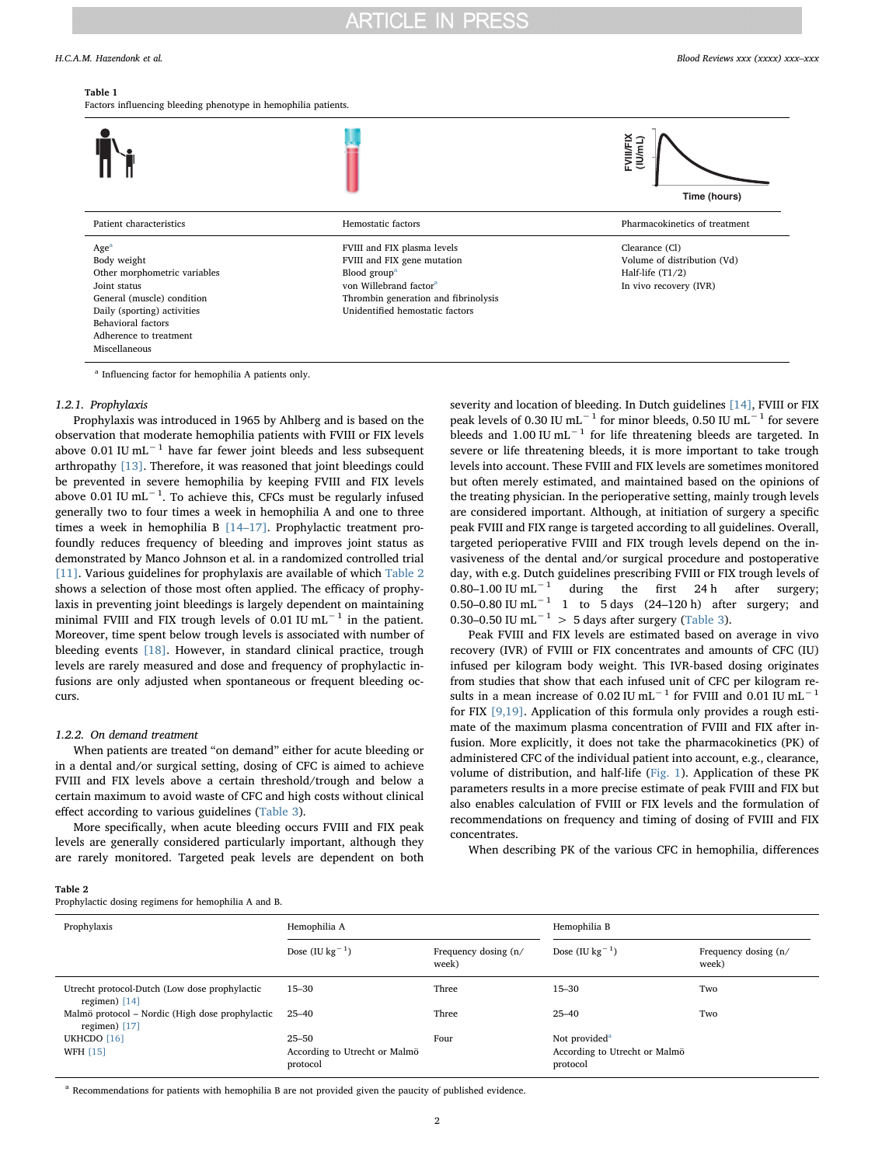#### <span id="page-1-0"></span>Table 1

Factors influencing bleeding phenotype in hemophilia patients.



<span id="page-1-2"></span><sup>a</sup> Influencing factor for hemophilia A patients only.

### 1.2.1. Prophylaxis

Prophylaxis was introduced in 1965 by Ahlberg and is based on the observation that moderate hemophilia patients with FVIII or FIX levels above 0.01 IU mL<sup> $-1$ </sup> have far fewer joint bleeds and less subsequent arthropathy [\[13\].](#page-6-0) Therefore, it was reasoned that joint bleedings could be prevented in severe hemophilia by keeping FVIII and FIX levels above 0.01 IU mL<sup>-1</sup>. To achieve this, CFCs must be regularly infused generally two to four times a week in hemophilia A and one to three times a week in hemophilia B [14–[17\].](#page-6-1) Prophylactic treatment profoundly reduces frequency of bleeding and improves joint status as demonstrated by Manco Johnson et al. in a randomized controlled trial [\[11\]](#page-5-4). Various guidelines for prophylaxis are available of which [Table 2](#page-1-1) shows a selection of those most often applied. The efficacy of prophylaxis in preventing joint bleedings is largely dependent on maintaining minimal FVIII and FIX trough levels of 0.01 IU mL−<sup>1</sup> in the patient. Moreover, time spent below trough levels is associated with number of bleeding events [\[18\]](#page-6-2). However, in standard clinical practice, trough levels are rarely measured and dose and frequency of prophylactic infusions are only adjusted when spontaneous or frequent bleeding occurs.

# 1.2.2. On demand treatment

When patients are treated "on demand" either for acute bleeding or in a dental and/or surgical setting, dosing of CFC is aimed to achieve FVIII and FIX levels above a certain threshold/trough and below a certain maximum to avoid waste of CFC and high costs without clinical effect according to various guidelines ([Table 3](#page-2-0)).

More specifically, when acute bleeding occurs FVIII and FIX peak levels are generally considered particularly important, although they are rarely monitored. Targeted peak levels are dependent on both severity and location of bleeding. In Dutch guidelines [\[14\]](#page-6-1), FVIII or FIX peak levels of 0.30 IU mL $^{-1}$  for minor bleeds, 0.50 IU mL $^{-1}$  for severe bleeds and 1.00 IU mL<sup> $-1$ </sup> for life threatening bleeds are targeted. In severe or life threatening bleeds, it is more important to take trough levels into account. These FVIII and FIX levels are sometimes monitored but often merely estimated, and maintained based on the opinions of the treating physician. In the perioperative setting, mainly trough levels are considered important. Although, at initiation of surgery a specific peak FVIII and FIX range is targeted according to all guidelines. Overall, targeted perioperative FVIII and FIX trough levels depend on the invasiveness of the dental and/or surgical procedure and postoperative day, with e.g. Dutch guidelines prescribing FVIII or FIX trough levels of 0.80–1.00 IU mL $^{-1}$  during the first 24 h after surgery; during the first 24 h after surgery; 0.50–0.80 IU mL<sup> $-1$ </sup> 1 to 5 days (24–120 h) after surgery; and 0.30–0.50 IU mL<sup> $-1$ </sup> > 5 days after surgery ([Table 3](#page-2-0)).

Peak FVIII and FIX levels are estimated based on average in vivo recovery (IVR) of FVIII or FIX concentrates and amounts of CFC (IU) infused per kilogram body weight. This IVR-based dosing originates from studies that show that each infused unit of CFC per kilogram results in a mean increase of 0.02 IU mL<sup>-1</sup> for FVIII and 0.01 IU mL<sup>-1</sup> for FIX [\[9,19\].](#page-5-5) Application of this formula only provides a rough estimate of the maximum plasma concentration of FVIII and FIX after infusion. More explicitly, it does not take the pharmacokinetics (PK) of administered CFC of the individual patient into account, e.g., clearance, volume of distribution, and half-life ([Fig. 1\)](#page-2-1). Application of these PK parameters results in a more precise estimate of peak FVIII and FIX but also enables calculation of FVIII or FIX levels and the formulation of recommendations on frequency and timing of dosing of FVIII and FIX concentrates.

When describing PK of the various CFC in hemophilia, differences

<span id="page-1-1"></span>

| Table 2                                              |  |
|------------------------------------------------------|--|
| Prophylactic dosing regimens for hemophilia A and B. |  |

| Prophylaxis                                                        | Hemophilia A                                           |                               | Hemophilia B                                                           |                               |
|--------------------------------------------------------------------|--------------------------------------------------------|-------------------------------|------------------------------------------------------------------------|-------------------------------|
|                                                                    | Dose (IU $\text{kg}^{-1}$ )                            | Frequency dosing (n/<br>week) | Dose (IU $\text{kg}^{-1}$ )                                            | Frequency dosing (n/<br>week) |
| Utrecht protocol-Dutch (Low dose prophylactic<br>regimen) $[14]$   | $15 - 30$                                              | Three                         | $15 - 30$                                                              | Two                           |
| Malmö protocol – Nordic (High dose prophylactic<br>regimen) $[17]$ | $25 - 40$                                              | Three                         | $25 - 40$                                                              | Two                           |
| UKHCDO [16]<br><b>WFH [15]</b>                                     | $25 - 50$<br>According to Utrecht or Malmö<br>protocol | Four                          | Not provided <sup>a</sup><br>According to Utrecht or Malmö<br>protocol |                               |

<span id="page-1-3"></span><sup>a</sup> Recommendations for patients with hemophilia B are not provided given the paucity of published evidence.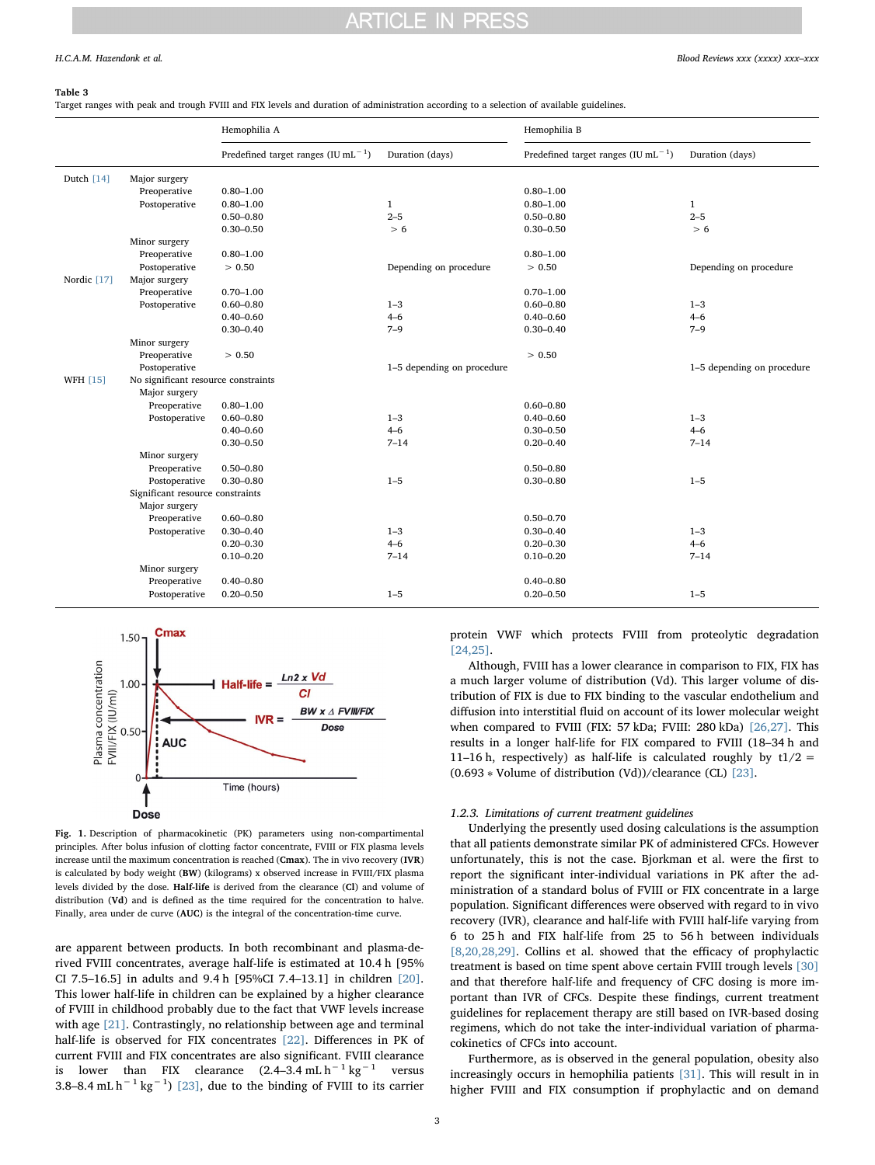#### **PRESS** ARTICI E IN

#### <span id="page-2-0"></span>Table 3

Target ranges with peak and trough FVIII and FIX levels and duration of administration according to a selection of available guidelines.

|                 |                                     | Hemophilia A                               |                            | Hemophilia B                                                      |                            |
|-----------------|-------------------------------------|--------------------------------------------|----------------------------|-------------------------------------------------------------------|----------------------------|
|                 |                                     | Predefined target ranges $(IU \, mL^{-1})$ | Duration (days)            | Predefined target ranges $($ IU mL <sup><math>-1</math></sup> $)$ | Duration (days)            |
| Dutch [14]      | Major surgery                       |                                            |                            |                                                                   |                            |
|                 | Preoperative                        | $0.80 - 1.00$                              |                            | $0.80 - 1.00$                                                     |                            |
|                 | Postoperative                       | $0.80 - 1.00$                              | $\mathbf{1}$               | $0.80 - 1.00$                                                     | $\mathbf{1}$               |
|                 |                                     | $0.50 - 0.80$                              | $2 - 5$                    | $0.50 - 0.80$                                                     | $2 - 5$                    |
|                 |                                     | $0.30 - 0.50$                              | > 6                        | $0.30 - 0.50$                                                     | > 6                        |
|                 | Minor surgery                       |                                            |                            |                                                                   |                            |
|                 | Preoperative                        | $0.80 - 1.00$                              |                            | $0.80 - 1.00$                                                     |                            |
|                 | Postoperative                       | > 0.50                                     | Depending on procedure     | > 0.50                                                            | Depending on procedure     |
| Nordic [17]     | Major surgery                       |                                            |                            |                                                                   |                            |
|                 | Preoperative                        | $0.70 - 1.00$                              |                            | $0.70 - 1.00$                                                     |                            |
|                 | Postoperative                       | $0.60 - 0.80$                              | $1 - 3$                    | $0.60 - 0.80$                                                     | $1 - 3$                    |
|                 |                                     | $0.40 - 0.60$                              | $4 - 6$                    | $0.40 - 0.60$                                                     | $4 - 6$                    |
|                 |                                     | $0.30 - 0.40$                              | $7 - 9$                    | $0.30 - 0.40$                                                     | $7 - 9$                    |
|                 | Minor surgery                       |                                            |                            |                                                                   |                            |
|                 | Preoperative                        | > 0.50                                     |                            | > 0.50                                                            |                            |
|                 | Postoperative                       |                                            | 1-5 depending on procedure |                                                                   | 1-5 depending on procedure |
| <b>WFH [15]</b> | No significant resource constraints |                                            |                            |                                                                   |                            |
|                 | Major surgery                       |                                            |                            |                                                                   |                            |
|                 | Preoperative                        | $0.80 - 1.00$                              |                            | $0.60 - 0.80$                                                     |                            |
|                 | Postoperative                       | $0.60 - 0.80$                              | $1 - 3$                    | $0.40 - 0.60$                                                     | $1 - 3$                    |
|                 |                                     | $0.40 - 0.60$                              | $4 - 6$                    | $0.30 - 0.50$                                                     | $4 - 6$                    |
|                 |                                     | $0.30 - 0.50$                              | $7 - 14$                   | $0.20 - 0.40$                                                     | $7 - 14$                   |
|                 | Minor surgery                       |                                            |                            |                                                                   |                            |
|                 | Preoperative                        | $0.50 - 0.80$                              |                            | $0.50 - 0.80$                                                     |                            |
|                 | Postoperative                       | $0.30 - 0.80$                              | $1 - 5$                    | $0.30 - 0.80$                                                     | $1 - 5$                    |
|                 | Significant resource constraints    |                                            |                            |                                                                   |                            |
|                 | Major surgery                       |                                            |                            |                                                                   |                            |
|                 | Preoperative                        | $0.60 - 0.80$                              |                            | $0.50 - 0.70$                                                     |                            |
|                 | Postoperative                       | $0.30 - 0.40$                              | $1 - 3$                    | $0.30 - 0.40$                                                     | $1 - 3$                    |
|                 |                                     | $0.20 - 0.30$                              | $4 - 6$                    | $0.20 - 0.30$                                                     | $4 - 6$                    |
|                 |                                     | $0.10 - 0.20$                              | $7 - 14$                   | $0.10 - 0.20$                                                     | $7 - 14$                   |
|                 | Minor surgery                       |                                            |                            |                                                                   |                            |
|                 | Preoperative                        | $0.40 - 0.80$                              |                            | $0.40 - 0.80$                                                     |                            |
|                 | Postoperative                       | $0.20 - 0.50$                              | $1 - 5$                    | $0.20 - 0.50$                                                     | $1 - 5$                    |

<span id="page-2-1"></span>

Fig. 1. Description of pharmacokinetic (PK) parameters using non-compartimental principles. After bolus infusion of clotting factor concentrate, FVIII or FIX plasma levels increase until the maximum concentration is reached (Cmax). The in vivo recovery (IVR) is calculated by body weight (BW) (kilograms) x observed increase in FVIII/FIX plasma levels divided by the dose. Half-life is derived from the clearance (Cl) and volume of distribution (Vd) and is defined as the time required for the concentration to halve. Finally, area under de curve (AUC) is the integral of the concentration-time curve.

are apparent between products. In both recombinant and plasma-derived FVIII concentrates, average half-life is estimated at 10.4 h [95% CI 7.5–16.5] in adults and 9.4 h [95%CI 7.4–13.1] in children [\[20\]](#page-6-6). This lower half-life in children can be explained by a higher clearance of FVIII in childhood probably due to the fact that VWF levels increase with age [\[21\].](#page-6-7) Contrastingly, no relationship between age and terminal half-life is observed for FIX concentrates [\[22\].](#page-6-8) Differences in PK of current FVIII and FIX concentrates are also significant. FVIII clearance is lower than FIX clearance  $(2.4-3.4 \text{ mL h}^{-1} \text{ kg}^{-1}$  versus 3.8–8.4 mL  $h^{-1}$  kg<sup>-1</sup>) [\[23\]](#page-6-9), due to the binding of FVIII to its carrier

protein VWF which protects FVIII from proteolytic degradation [\[24,25\].](#page-6-10)

Although, FVIII has a lower clearance in comparison to FIX, FIX has a much larger volume of distribution (Vd). This larger volume of distribution of FIX is due to FIX binding to the vascular endothelium and diffusion into interstitial fluid on account of its lower molecular weight when compared to FVIII (FIX: 57 kDa; FVIII: 280 kDa) [\[26,27\].](#page-6-11) This results in a longer half-life for FIX compared to FVIII (18–34 h and 11–16 h, respectively) as half-life is calculated roughly by  $t1/2 =$ (0.693 ∗ Volume of distribution (Vd))/clearance (CL) [\[23\].](#page-6-9)

#### 1.2.3. Limitations of current treatment guidelines

Underlying the presently used dosing calculations is the assumption that all patients demonstrate similar PK of administered CFCs. However unfortunately, this is not the case. Bjorkman et al. were the first to report the significant inter-individual variations in PK after the administration of a standard bolus of FVIII or FIX concentrate in a large population. Significant differences were observed with regard to in vivo recovery (IVR), clearance and half-life with FVIII half-life varying from 6 to 25 h and FIX half-life from 25 to 56 h between individuals [\[8,20,28,29\]](#page-5-6). Collins et al. showed that the efficacy of prophylactic treatment is based on time spent above certain FVIII trough levels [\[30\]](#page-6-12) and that therefore half-life and frequency of CFC dosing is more important than IVR of CFCs. Despite these findings, current treatment guidelines for replacement therapy are still based on IVR-based dosing regimens, which do not take the inter-individual variation of pharmacokinetics of CFCs into account.

Furthermore, as is observed in the general population, obesity also increasingly occurs in hemophilia patients [\[31\].](#page-6-13) This will result in in higher FVIII and FIX consumption if prophylactic and on demand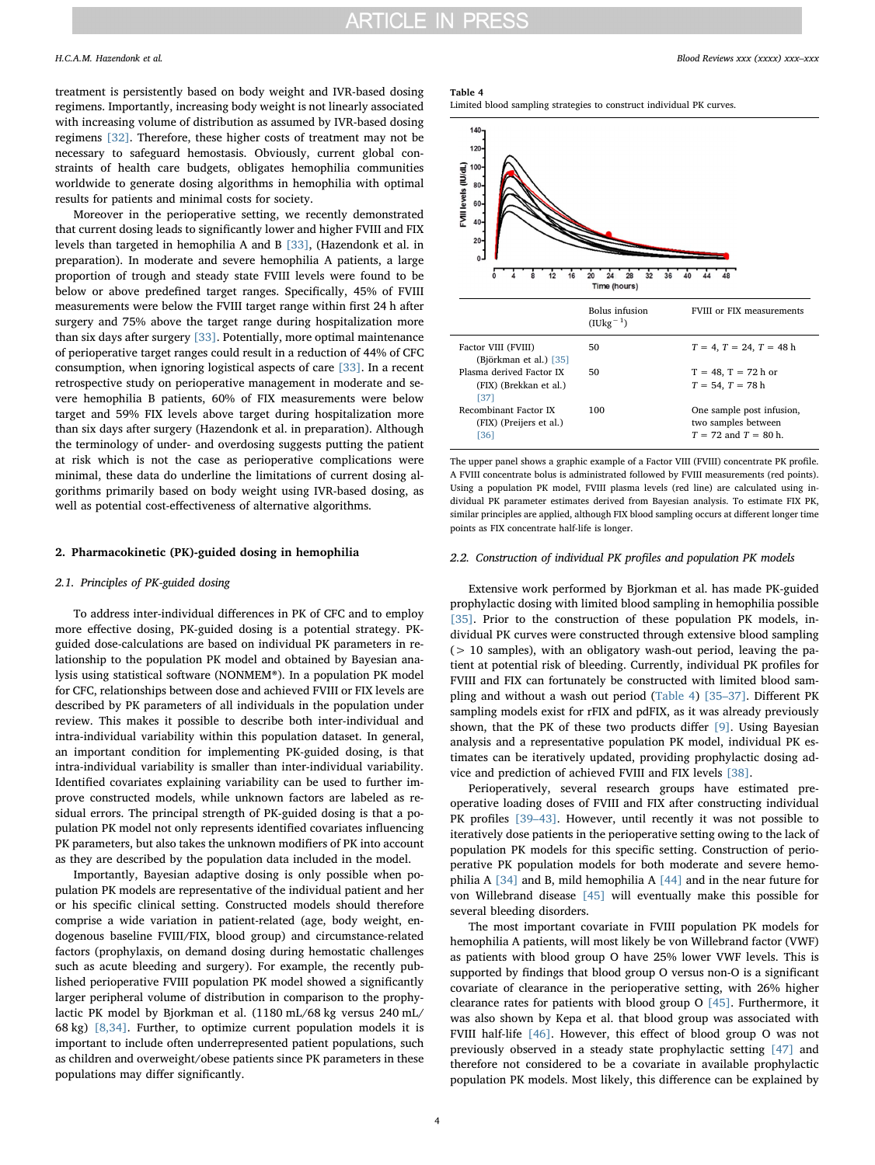treatment is persistently based on body weight and IVR-based dosing regimens. Importantly, increasing body weight is not linearly associated with increasing volume of distribution as assumed by IVR-based dosing regimens [\[32\]](#page-6-14). Therefore, these higher costs of treatment may not be necessary to safeguard hemostasis. Obviously, current global constraints of health care budgets, obligates hemophilia communities worldwide to generate dosing algorithms in hemophilia with optimal results for patients and minimal costs for society.

Moreover in the perioperative setting, we recently demonstrated that current dosing leads to significantly lower and higher FVIII and FIX levels than targeted in hemophilia A and B [\[33\]](#page-6-15), (Hazendonk et al. in preparation). In moderate and severe hemophilia A patients, a large proportion of trough and steady state FVIII levels were found to be below or above predefined target ranges. Specifically, 45% of FVIII measurements were below the FVIII target range within first 24 h after surgery and 75% above the target range during hospitalization more than six days after surgery [\[33\].](#page-6-15) Potentially, more optimal maintenance of perioperative target ranges could result in a reduction of 44% of CFC consumption, when ignoring logistical aspects of care [\[33\].](#page-6-15) In a recent retrospective study on perioperative management in moderate and severe hemophilia B patients, 60% of FIX measurements were below target and 59% FIX levels above target during hospitalization more than six days after surgery (Hazendonk et al. in preparation). Although the terminology of under- and overdosing suggests putting the patient at risk which is not the case as perioperative complications were minimal, these data do underline the limitations of current dosing algorithms primarily based on body weight using IVR-based dosing, as well as potential cost-effectiveness of alternative algorithms.

# 2. Pharmacokinetic (PK)-guided dosing in hemophilia

# 2.1. Principles of PK-guided dosing

To address inter-individual differences in PK of CFC and to employ more effective dosing, PK-guided dosing is a potential strategy. PKguided dose-calculations are based on individual PK parameters in relationship to the population PK model and obtained by Bayesian analysis using statistical software (NONMEM®). In a population PK model for CFC, relationships between dose and achieved FVIII or FIX levels are described by PK parameters of all individuals in the population under review. This makes it possible to describe both inter-individual and intra-individual variability within this population dataset. In general, an important condition for implementing PK-guided dosing, is that intra-individual variability is smaller than inter-individual variability. Identified covariates explaining variability can be used to further improve constructed models, while unknown factors are labeled as residual errors. The principal strength of PK-guided dosing is that a population PK model not only represents identified covariates influencing PK parameters, but also takes the unknown modifiers of PK into account as they are described by the population data included in the model.

Importantly, Bayesian adaptive dosing is only possible when population PK models are representative of the individual patient and her or his specific clinical setting. Constructed models should therefore comprise a wide variation in patient-related (age, body weight, endogenous baseline FVIII/FIX, blood group) and circumstance-related factors (prophylaxis, on demand dosing during hemostatic challenges such as acute bleeding and surgery). For example, the recently published perioperative FVIII population PK model showed a significantly larger peripheral volume of distribution in comparison to the prophylactic PK model by Bjorkman et al. (1180 mL/68 kg versus 240 mL/ 68 kg) [\[8,34\].](#page-5-6) Further, to optimize current population models it is important to include often underrepresented patient populations, such as children and overweight/obese patients since PK parameters in these populations may differ significantly.

# H.C.A.M. Hazendonk et al. *Blood Reviews xxx (xxxx) xxx–xxx*

#### <span id="page-3-0"></span>Table 4





The upper panel shows a graphic example of a Factor VIII (FVIII) concentrate PK profile. A FVIII concentrate bolus is administrated followed by FVIII measurements (red points). Using a population PK model, FVIII plasma levels (red line) are calculated using individual PK parameter estimates derived from Bayesian analysis. To estimate FIX PK, similar principles are applied, although FIX blood sampling occurs at different longer time points as FIX concentrate half-life is longer.

### 2.2. Construction of individual PK profiles and population PK models

Extensive work performed by Bjorkman et al. has made PK-guided prophylactic dosing with limited blood sampling in hemophilia possible [\[35\]](#page-6-16). Prior to the construction of these population PK models, individual PK curves were constructed through extensive blood sampling (> 10 samples), with an obligatory wash-out period, leaving the patient at potential risk of bleeding. Currently, individual PK profiles for FVIII and FIX can fortunately be constructed with limited blood sampling and without a wash out period [\(Table 4](#page-3-0)) [35–[37\]](#page-6-16). Different PK sampling models exist for rFIX and pdFIX, as it was already previously shown, that the PK of these two products differ [\[9\]](#page-5-5). Using Bayesian analysis and a representative population PK model, individual PK estimates can be iteratively updated, providing prophylactic dosing advice and prediction of achieved FVIII and FIX levels [\[38\]](#page-6-17).

Perioperatively, several research groups have estimated preoperative loading doses of FVIII and FIX after constructing individual PK profiles [39-[43\]](#page-6-18). However, until recently it was not possible to iteratively dose patients in the perioperative setting owing to the lack of population PK models for this specific setting. Construction of perioperative PK population models for both moderate and severe hemophilia A [\[34\]](#page-6-19) and B, mild hemophilia A [\[44\]](#page-6-20) and in the near future for von Willebrand disease [\[45\]](#page-6-21) will eventually make this possible for several bleeding disorders.

The most important covariate in FVIII population PK models for hemophilia A patients, will most likely be von Willebrand factor (VWF) as patients with blood group O have 25% lower VWF levels. This is supported by findings that blood group O versus non-O is a significant covariate of clearance in the perioperative setting, with 26% higher clearance rates for patients with blood group O [\[45\].](#page-6-21) Furthermore, it was also shown by Kepa et al. that blood group was associated with FVIII half-life [\[46\]](#page-6-22). However, this effect of blood group O was not previously observed in a steady state prophylactic setting [\[47\]](#page-6-23) and therefore not considered to be a covariate in available prophylactic population PK models. Most likely, this difference can be explained by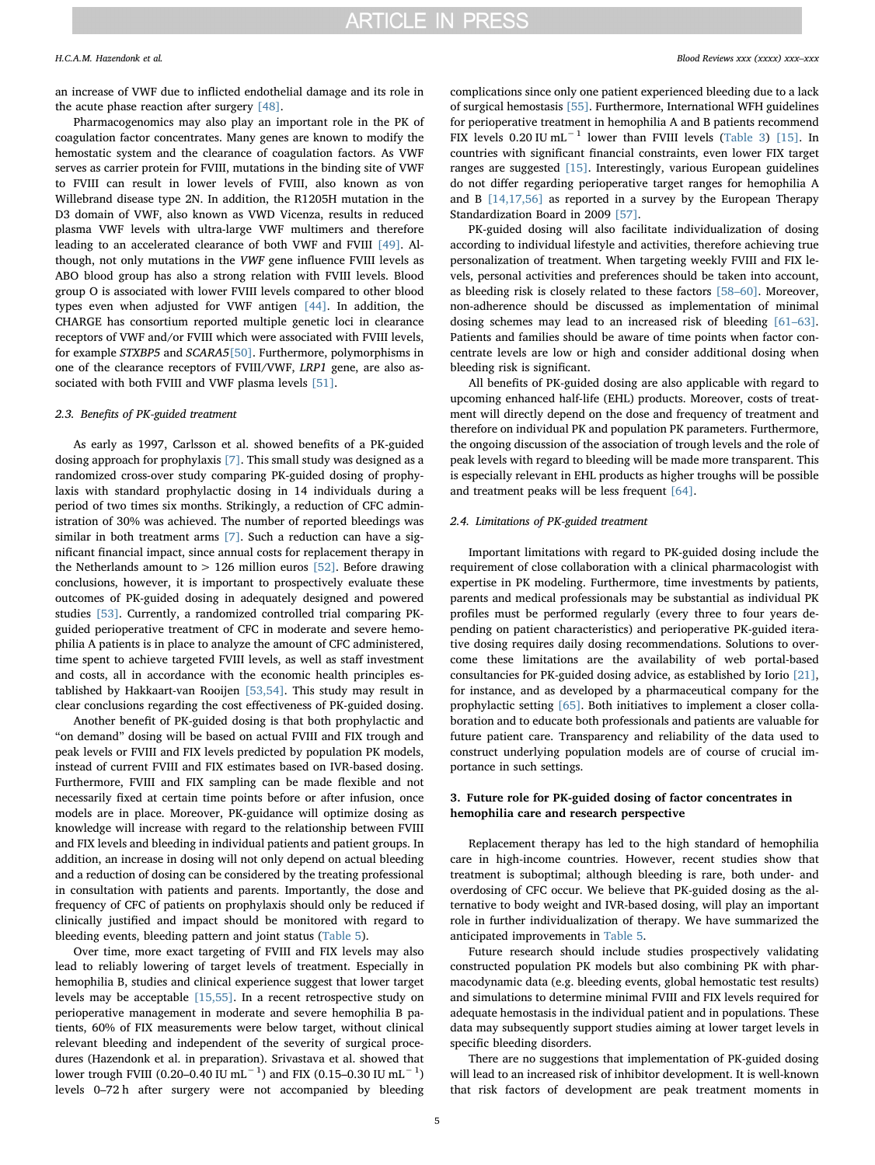an increase of VWF due to inflicted endothelial damage and its role in the acute phase reaction after surgery [\[48\].](#page-6-26)

Pharmacogenomics may also play an important role in the PK of coagulation factor concentrates. Many genes are known to modify the hemostatic system and the clearance of coagulation factors. As VWF serves as carrier protein for FVIII, mutations in the binding site of VWF to FVIII can result in lower levels of FVIII, also known as von Willebrand disease type 2N. In addition, the R1205H mutation in the D3 domain of VWF, also known as VWD Vicenza, results in reduced plasma VWF levels with ultra-large VWF multimers and therefore leading to an accelerated clearance of both VWF and FVIII [\[49\].](#page-6-27) Although, not only mutations in the VWF gene influence FVIII levels as ABO blood group has also a strong relation with FVIII levels. Blood group O is associated with lower FVIII levels compared to other blood types even when adjusted for VWF antigen [\[44\].](#page-6-20) In addition, the CHARGE has consortium reported multiple genetic loci in clearance receptors of VWF and/or FVIII which were associated with FVIII levels, for example STXBP5 and SCARA5[\[50\]](#page-6-28). Furthermore, polymorphisms in one of the clearance receptors of FVIII/VWF, LRP1 gene, are also associated with both FVIII and VWF plasma levels [\[51\].](#page-6-29)

# 2.3. Benefits of PK-guided treatment

As early as 1997, Carlsson et al. showed benefits of a PK-guided dosing approach for prophylaxis [\[7\].](#page-5-7) This small study was designed as a randomized cross-over study comparing PK-guided dosing of prophylaxis with standard prophylactic dosing in 14 individuals during a period of two times six months. Strikingly, a reduction of CFC administration of 30% was achieved. The number of reported bleedings was similar in both treatment arms [\[7\].](#page-5-7) Such a reduction can have a significant financial impact, since annual costs for replacement therapy in the Netherlands amount to  $> 126$  million euros [\[52\].](#page-6-30) Before drawing conclusions, however, it is important to prospectively evaluate these outcomes of PK-guided dosing in adequately designed and powered studies [\[53\]](#page-6-31). Currently, a randomized controlled trial comparing PKguided perioperative treatment of CFC in moderate and severe hemophilia A patients is in place to analyze the amount of CFC administered, time spent to achieve targeted FVIII levels, as well as staff investment and costs, all in accordance with the economic health principles established by Hakkaart-van Rooijen [\[53,54\].](#page-6-31) This study may result in clear conclusions regarding the cost effectiveness of PK-guided dosing.

Another benefit of PK-guided dosing is that both prophylactic and "on demand" dosing will be based on actual FVIII and FIX trough and peak levels or FVIII and FIX levels predicted by population PK models, instead of current FVIII and FIX estimates based on IVR-based dosing. Furthermore, FVIII and FIX sampling can be made flexible and not necessarily fixed at certain time points before or after infusion, once models are in place. Moreover, PK-guidance will optimize dosing as knowledge will increase with regard to the relationship between FVIII and FIX levels and bleeding in individual patients and patient groups. In addition, an increase in dosing will not only depend on actual bleeding and a reduction of dosing can be considered by the treating professional in consultation with patients and parents. Importantly, the dose and frequency of CFC of patients on prophylaxis should only be reduced if clinically justified and impact should be monitored with regard to bleeding events, bleeding pattern and joint status ([Table 5](#page-5-8)).

Over time, more exact targeting of FVIII and FIX levels may also lead to reliably lowering of target levels of treatment. Especially in hemophilia B, studies and clinical experience suggest that lower target levels may be acceptable [\[15,55\].](#page-6-5) In a recent retrospective study on perioperative management in moderate and severe hemophilia B patients, 60% of FIX measurements were below target, without clinical relevant bleeding and independent of the severity of surgical procedures (Hazendonk et al. in preparation). Srivastava et al. showed that lower trough FVIII (0.20–0.40 IU mL $^{-1}$ ) and FIX (0.15–0.30 IU mL $^{-1})$ levels 0–72 h after surgery were not accompanied by bleeding complications since only one patient experienced bleeding due to a lack of surgical hemostasis [\[55\]](#page-6-32). Furthermore, International WFH guidelines for perioperative treatment in hemophilia A and B patients recommend FIX levels 0.20 IU mL−<sup>1</sup> lower than FVIII levels [\(Table 3](#page-2-0)) [\[15\]](#page-6-5). In countries with significant financial constraints, even lower FIX target ranges are suggested [\[15\]](#page-6-5). Interestingly, various European guidelines do not differ regarding perioperative target ranges for hemophilia A and B [\[14,17,56\]](#page-6-1) as reported in a survey by the European Therapy Standardization Board in 2009 [\[57\]](#page-6-33).

PK-guided dosing will also facilitate individualization of dosing according to individual lifestyle and activities, therefore achieving true personalization of treatment. When targeting weekly FVIII and FIX levels, personal activities and preferences should be taken into account, as bleeding risk is closely related to these factors [58–[60\]](#page-6-34). Moreover, non-adherence should be discussed as implementation of minimal dosing schemes may lead to an increased risk of bleeding [\[61](#page-6-35)–63]. Patients and families should be aware of time points when factor concentrate levels are low or high and consider additional dosing when bleeding risk is significant.

All benefits of PK-guided dosing are also applicable with regard to upcoming enhanced half-life (EHL) products. Moreover, costs of treatment will directly depend on the dose and frequency of treatment and therefore on individual PK and population PK parameters. Furthermore, the ongoing discussion of the association of trough levels and the role of peak levels with regard to bleeding will be made more transparent. This is especially relevant in EHL products as higher troughs will be possible and treatment peaks will be less frequent [\[64\]](#page-6-36).

# 2.4. Limitations of PK-guided treatment

Important limitations with regard to PK-guided dosing include the requirement of close collaboration with a clinical pharmacologist with expertise in PK modeling. Furthermore, time investments by patients, parents and medical professionals may be substantial as individual PK profiles must be performed regularly (every three to four years depending on patient characteristics) and perioperative PK-guided iterative dosing requires daily dosing recommendations. Solutions to overcome these limitations are the availability of web portal-based consultancies for PK-guided dosing advice, as established by Iorio [\[21\]](#page-6-7), for instance, and as developed by a pharmaceutical company for the prophylactic setting [\[65\].](#page-6-37) Both initiatives to implement a closer collaboration and to educate both professionals and patients are valuable for future patient care. Transparency and reliability of the data used to construct underlying population models are of course of crucial importance in such settings.

# 3. Future role for PK-guided dosing of factor concentrates in hemophilia care and research perspective

Replacement therapy has led to the high standard of hemophilia care in high-income countries. However, recent studies show that treatment is suboptimal; although bleeding is rare, both under- and overdosing of CFC occur. We believe that PK-guided dosing as the alternative to body weight and IVR-based dosing, will play an important role in further individualization of therapy. We have summarized the anticipated improvements in [Table 5.](#page-5-8)

Future research should include studies prospectively validating constructed population PK models but also combining PK with pharmacodynamic data (e.g. bleeding events, global hemostatic test results) and simulations to determine minimal FVIII and FIX levels required for adequate hemostasis in the individual patient and in populations. These data may subsequently support studies aiming at lower target levels in specific bleeding disorders.

There are no suggestions that implementation of PK-guided dosing will lead to an increased risk of inhibitor development. It is well-known that risk factors of development are peak treatment moments in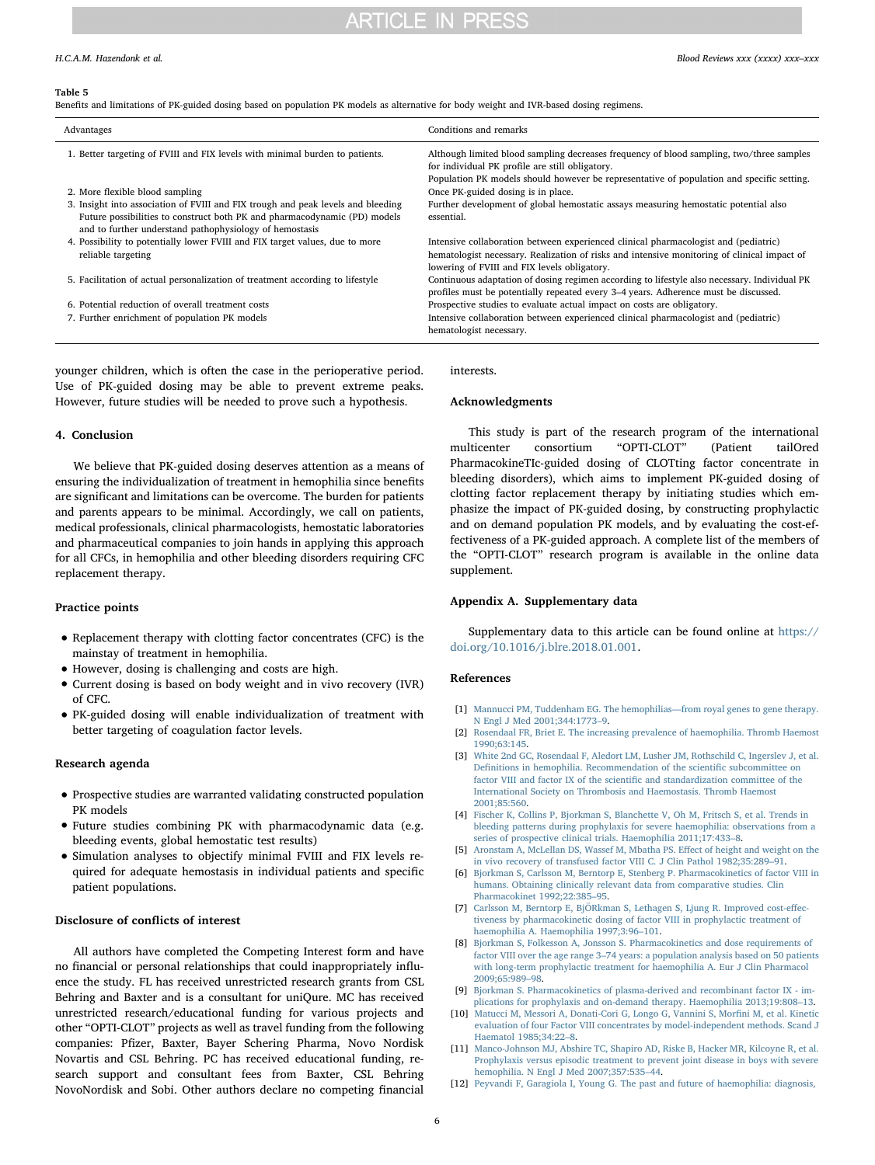# **ARTICLE IN PRESS**

#### <span id="page-5-8"></span>Table 5

Benefits and limitations of PK-guided dosing based on population PK models as alternative for body weight and IVR-based dosing regimens.

| Advantages                                                                                                                                                                                                               | Conditions and remarks                                                                                                                                                                                                                   |
|--------------------------------------------------------------------------------------------------------------------------------------------------------------------------------------------------------------------------|------------------------------------------------------------------------------------------------------------------------------------------------------------------------------------------------------------------------------------------|
| 1. Better targeting of FVIII and FIX levels with minimal burden to patients.                                                                                                                                             | Although limited blood sampling decreases frequency of blood sampling, two/three samples<br>for individual PK profile are still obligatory.<br>Population PK models should however be representative of population and specific setting. |
| 2. More flexible blood sampling                                                                                                                                                                                          | Once PK-guided dosing is in place.                                                                                                                                                                                                       |
| 3. Insight into association of FVIII and FIX trough and peak levels and bleeding<br>Future possibilities to construct both PK and pharmacodynamic (PD) models<br>and to further understand pathophysiology of hemostasis | Further development of global hemostatic assays measuring hemostatic potential also<br>essential.                                                                                                                                        |
| 4. Possibility to potentially lower FVIII and FIX target values, due to more<br>reliable targeting                                                                                                                       | Intensive collaboration between experienced clinical pharmacologist and (pediatric)<br>hematologist necessary. Realization of risks and intensive monitoring of clinical impact of<br>lowering of FVIII and FIX levels obligatory.       |
| 5. Facilitation of actual personalization of treatment according to lifestyle                                                                                                                                            | Continuous adaptation of dosing regimen according to lifestyle also necessary. Individual PK<br>profiles must be potentially repeated every 3–4 years. Adherence must be discussed.                                                      |
| 6. Potential reduction of overall treatment costs                                                                                                                                                                        | Prospective studies to evaluate actual impact on costs are obligatory.                                                                                                                                                                   |
| 7. Further enrichment of population PK models                                                                                                                                                                            | Intensive collaboration between experienced clinical pharmacologist and (pediatric)<br>hematologist necessary.                                                                                                                           |

younger children, which is often the case in the perioperative period. Use of PK-guided dosing may be able to prevent extreme peaks. However, future studies will be needed to prove such a hypothesis.

## 4. Conclusion

We believe that PK-guided dosing deserves attention as a means of ensuring the individualization of treatment in hemophilia since benefits are significant and limitations can be overcome. The burden for patients and parents appears to be minimal. Accordingly, we call on patients, medical professionals, clinical pharmacologists, hemostatic laboratories and pharmaceutical companies to join hands in applying this approach for all CFCs, in hemophilia and other bleeding disorders requiring CFC replacement therapy.

### Practice points

- Replacement therapy with clotting factor concentrates (CFC) is the mainstay of treatment in hemophilia.
- However, dosing is challenging and costs are high.
- Current dosing is based on body weight and in vivo recovery (IVR) of CFC.
- PK-guided dosing will enable individualization of treatment with better targeting of coagulation factor levels.

### Research agenda

- Prospective studies are warranted validating constructed population PK models
- Future studies combining PK with pharmacodynamic data (e.g. bleeding events, global hemostatic test results)
- Simulation analyses to objectify minimal FVIII and FIX levels required for adequate hemostasis in individual patients and specific patient populations.

### Disclosure of conflicts of interest

All authors have completed the Competing Interest form and have no financial or personal relationships that could inappropriately influence the study. FL has received unrestricted research grants from CSL Behring and Baxter and is a consultant for uniQure. MC has received unrestricted research/educational funding for various projects and other "OPTI-CLOT" projects as well as travel funding from the following companies: Pfizer, Baxter, Bayer Schering Pharma, Novo Nordisk Novartis and CSL Behring. PC has received educational funding, research support and consultant fees from Baxter, CSL Behring NovoNordisk and Sobi. Other authors declare no competing financial interests.

# Acknowledgments

This study is part of the research program of the international multicenter consortium "OPTI-CLOT" (Patient tailOred PharmacokineTIc-guided dosing of CLOTting factor concentrate in bleeding disorders), which aims to implement PK-guided dosing of clotting factor replacement therapy by initiating studies which emphasize the impact of PK-guided dosing, by constructing prophylactic and on demand population PK models, and by evaluating the cost-effectiveness of a PK-guided approach. A complete list of the members of the "OPTI-CLOT" research program is available in the online data supplement.

# Appendix A. Supplementary data

Supplementary data to this article can be found online at [https://](https://doi.org/10.1016/j.blre.2018.01.001) [doi.org/10.1016/j.blre.2018.01.001](https://doi.org/10.1016/j.blre.2018.01.001).

### References

- <span id="page-5-0"></span>[1] [Mannucci PM, Tuddenham EG. The hemophilias](http://refhub.elsevier.com/S0268-960X(16)30104-7/rf0005)—from royal genes to gene therapy. [N Engl J Med 2001;344:1773](http://refhub.elsevier.com/S0268-960X(16)30104-7/rf0005)–9.
- [2] [Rosendaal FR, Briet E. The increasing prevalence of haemophilia. Thromb Haemost](http://refhub.elsevier.com/S0268-960X(16)30104-7/rf0010) [1990;63:145.](http://refhub.elsevier.com/S0268-960X(16)30104-7/rf0010)
- <span id="page-5-1"></span>[3] [White 2nd GC, Rosendaal F, Aledort LM, Lusher JM, Rothschild C, Ingerslev J, et al.](http://refhub.elsevier.com/S0268-960X(16)30104-7/rf0015) Defi[nitions in hemophilia. Recommendation of the scienti](http://refhub.elsevier.com/S0268-960X(16)30104-7/rf0015)fic subcommittee on factor VIII and factor IX of the scientifi[c and standardization committee of the](http://refhub.elsevier.com/S0268-960X(16)30104-7/rf0015) [International Society on Thrombosis and Haemostasis. Thromb Haemost](http://refhub.elsevier.com/S0268-960X(16)30104-7/rf0015) [2001;85:560.](http://refhub.elsevier.com/S0268-960X(16)30104-7/rf0015)
- <span id="page-5-2"></span>[4] [Fischer K, Collins P, Bjorkman S, Blanchette V, Oh M, Fritsch S, et al. Trends in](http://refhub.elsevier.com/S0268-960X(16)30104-7/rf0020) [bleeding patterns during prophylaxis for severe haemophilia: observations from a](http://refhub.elsevier.com/S0268-960X(16)30104-7/rf0020) [series of prospective clinical trials. Haemophilia 2011;17:433](http://refhub.elsevier.com/S0268-960X(16)30104-7/rf0020)–8.
- <span id="page-5-3"></span>[5] [Aronstam A, McLellan DS, Wassef M, Mbatha PS. E](http://refhub.elsevier.com/S0268-960X(16)30104-7/rf0025)ffect of height and weight on the [in vivo recovery of transfused factor VIII C. J Clin Pathol 1982;35:289](http://refhub.elsevier.com/S0268-960X(16)30104-7/rf0025)–91.
- [6] [Bjorkman S, Carlsson M, Berntorp E, Stenberg P. Pharmacokinetics of factor VIII in](http://refhub.elsevier.com/S0268-960X(16)30104-7/rf0030) [humans. Obtaining clinically relevant data from comparative studies. Clin](http://refhub.elsevier.com/S0268-960X(16)30104-7/rf0030) [Pharmacokinet 1992;22:385](http://refhub.elsevier.com/S0268-960X(16)30104-7/rf0030)–95.
- <span id="page-5-7"></span>[7] [Carlsson M, Berntorp E, BjÖRkman S, Lethagen S, Ljung R. Improved cost-e](http://refhub.elsevier.com/S0268-960X(16)30104-7/rf0035)ffec[tiveness by pharmacokinetic dosing of factor VIII in prophylactic treatment of](http://refhub.elsevier.com/S0268-960X(16)30104-7/rf0035) [haemophilia A. Haemophilia 1997;3:96](http://refhub.elsevier.com/S0268-960X(16)30104-7/rf0035)–101.
- <span id="page-5-6"></span>[8] [Bjorkman S, Folkesson A, Jonsson S. Pharmacokinetics and dose requirements of](http://refhub.elsevier.com/S0268-960X(16)30104-7/rf0040) factor VIII over the age range 3–[74 years: a population analysis based on 50 patients](http://refhub.elsevier.com/S0268-960X(16)30104-7/rf0040) [with long-term prophylactic treatment for haemophilia A. Eur J Clin Pharmacol](http://refhub.elsevier.com/S0268-960X(16)30104-7/rf0040) [2009;65:989](http://refhub.elsevier.com/S0268-960X(16)30104-7/rf0040)–98.
- <span id="page-5-5"></span>[9] [Bjorkman S. Pharmacokinetics of plasma-derived and recombinant factor IX - im](http://refhub.elsevier.com/S0268-960X(16)30104-7/rf0045)[plications for prophylaxis and on-demand therapy. Haemophilia 2013;19:808](http://refhub.elsevier.com/S0268-960X(16)30104-7/rf0045)–13.
- [10] [Matucci M, Messori A, Donati-Cori G, Longo G, Vannini S, Mor](http://refhub.elsevier.com/S0268-960X(16)30104-7/rf0050)fini M, et al. Kinetic [evaluation of four Factor VIII concentrates by model-independent methods. Scand J](http://refhub.elsevier.com/S0268-960X(16)30104-7/rf0050) [Haematol 1985;34:22](http://refhub.elsevier.com/S0268-960X(16)30104-7/rf0050)–8.
- <span id="page-5-4"></span>[11] [Manco-Johnson MJ, Abshire TC, Shapiro AD, Riske B, Hacker MR, Kilcoyne R, et al.](http://refhub.elsevier.com/S0268-960X(16)30104-7/rf0055) [Prophylaxis versus episodic treatment to prevent joint disease in boys with severe](http://refhub.elsevier.com/S0268-960X(16)30104-7/rf0055) [hemophilia. N Engl J Med 2007;357:535](http://refhub.elsevier.com/S0268-960X(16)30104-7/rf0055)–44.
- [12] [Peyvandi F, Garagiola I, Young G. The past and future of haemophilia: diagnosis,](http://refhub.elsevier.com/S0268-960X(16)30104-7/rf0060)